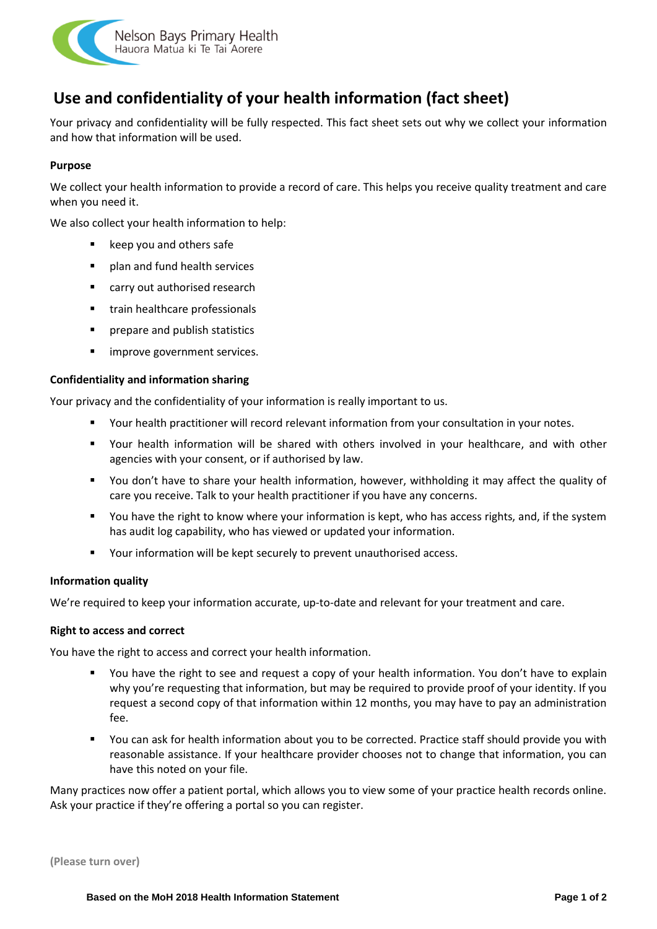

# **Use and confidentiality of your health information (fact sheet)**

Your privacy and confidentiality will be fully respected. This fact sheet sets out why we collect your information and how that information will be used.

# **Purpose**

We collect your health information to provide a record of care. This helps you receive quality treatment and care when you need it.

We also collect your health information to help:

- keep you and others safe
- plan and fund health services
- carry out authorised research
- train healthcare professionals
- prepare and publish statistics
- improve government services.

### **Confidentiality and information sharing**

Your privacy and the confidentiality of your information is really important to us.

- Your health practitioner will record relevant information from your consultation in your notes.
- Your health information will be shared with others involved in your healthcare, and with other agencies with your consent, or if authorised by law.
- You don't have to share your health information, however, withholding it may affect the quality of care you receive. Talk to your health practitioner if you have any concerns.
- You have the right to know where your information is kept, who has access rights, and, if the system has audit log capability, who has viewed or updated your information.
- Your information will be kept securely to prevent unauthorised access.

### **Information quality**

We're required to keep your information accurate, up-to-date and relevant for your treatment and care.

### **Right to access and correct**

You have the right to access and correct your health information.

- You have the right to see and request a copy of your health information. You don't have to explain why you're requesting that information, but may be required to provide proof of your identity. If you request a second copy of that information within 12 months, you may have to pay an administration fee.
- You can ask for health information about you to be corrected. Practice staff should provide you with reasonable assistance. If your healthcare provider chooses not to change that information, you can have this noted on your file.

Many practices now offer a patient portal, which allows you to view some of your practice health records online. Ask your practice if they're offering a portal so you can register.

**(Please turn over)**